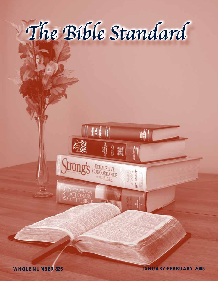

Strong's EXHAUSTIVE

**111** 

**BIBLE** 

gondervan

**TAMES**<br>STRONG<br>**IENDRUSSON** 

**WHOLE NUMBER 826 JANUARY-FEBRUARY 2005**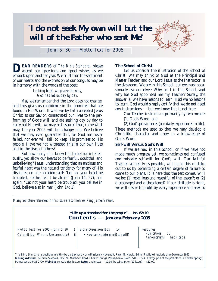# "**I do not seek My own will but the will of the Father who sent Me**"



John 5:  $30$  — Motto Text for 2005

**DEAR READERS** of *The Bible Standard,* please accept our greetings and good wishes as we embark upon another year. We trust that the sentiment of our hearts and the expression of our tongues may be in harmony with the words of the poet:

# *Looking back, we praise the way, God has led us day by day.*

May we remember that the Lord does not change, and this gives us confidence in the promises that are found in His Word. If we have by faith accepted Jesus Christ as our Savior, consecrated our lives to the performing of God's will, and are seeking day by day to carry out His will, we may rest assured that, come what may, the year 2005 will be a happy one. We believe that we may even guarantee this, for God has never failed, nor ever will fail, to keep His promises to His people. Have we not witnessed this in our own lives and in the lives of others?

But how many of us know this to be true intellectually, yet allow our hearts to be fearful, doubtful, and unbelieving? Jesus, understanding that an anxious and fearful heart was the natural tendency for many of His disciples, on one occasion said: "Let not your heart be troubled, neither let it be afraid" (John 14: 27); and again: "Let not your heart be troubled: you believe in God, believe also in me" (John 14: 1).

# **The School of Christ**

Let us consider the illustration of the School of Christ. We may think of God as the Principal and Master Teacher and our Lord Jesus as the Instructor in the classroom. We are in this School, but we must occasionally ask ourselves: Why am I in this School, and why has God appointed me my Teacher? Surely, the answer is: We have lessons to learn. Had we no lessons to learn, God would simply certify that we do not need any instructions — but we know this is not true.

Our Teacher instructs us primarily by two means:

(1) God's Word; and

(2) God's providences (our daily experiences in life).

These methods are used so that we may develop a Christlike character and grow in a knowledge of God's Word.

## **Self-will Versus God's Will**

If we are new in this School, or if we have not made much progress yet, we sometimes get confused and mistake self-will for God's will. Our faithful Teacher, as gently as possible, will point this mistake out to us by permitting a certain degree of failure to come to our plans. It is here that the test comes. Will we be: (1) rebellious and resentful of the lesson?; or (2) discouraged and disheartened? If our attitude is right, we will desire to profit by every experience and seek to

*Many Scripture references in this issue are to the New King James Version.*

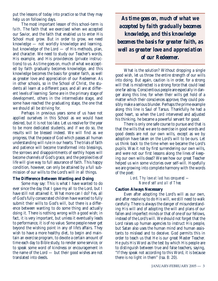put the lessons of today into practice so that they may help us on following days.

The most important lesson of this school-term is *faith*. The faith that we exercised when we accepted our Savior, and the faith that enabled us to enter His School must grow. But in order to grow, we need knowledge — not worldly knowledge and learning, but knowledge of the Lord — of His methods, plan, and character. We need to study our Teacher's words, His example, and His providences (private instructions) to us. As time goes on, much of what we accepted by faith gradually becomes knowledge, and this knowledge becomes the basis for greater faith, as well as greater love and appreciation of our Redeemer. As in other schools, so in the School of Christ, the students all learn at a different pace, and all are at different levels of learning: Some are in the primary stage of development, others in the intermediate stage, and some have reached the graduating stage, the one that we should all be striving for.

Perhaps in previous years some of us have not applied ourselves in this School as we would have desired, but it is not too late. Let us resolve for the year to be more dedicated students, and if we do so, the results will be blessed indeed. We will find as we progress, that the peace of God which passes all human understanding will rule in our hearts. The trials of faith and patience will become transformed into blessings, the sorrows and disappointments of earthly hopes will become channels of God's grace, and the perplexities of life will give way to full assurance of faith. This happy condition, however, can only be attained by a full submission of our wills to the Lord's will in all things.

## **The Difference Between Wanting and Doing**

Some may say: This is what I have wanted to do ever since the day that I gave my all to the Lord, but I have still not attained it. What more can I do? Yes, all of God's fully consecrated children have wanted to fully submit their wills to God's will, but there is a difference between wanting to do some thing and actually doing it. There is nothing wrong with a good wish; in fact, it is very important, but unless it eventually leads to performance, it is of no value. Some people never get beyond the wishing point in any of life's affairs. They wish to have a more healthy diet, to begin and maintain an exercise program, to devote a certain amount of time each day to Bible study, to render some service, or to speak some word of kindness or encouragement in the name of the Lord — but their good wishes are not translated into deeds.

*As time goes on, much of what we accepted by faith gradually becomes knowledge, and this knowledge becomes the basis for greater faith, as well as greater love and appreciation of our Redeemer.*

What is the solution? Without dropping a single good wish, let us throw the entire strength of our wills into doing. But again, caution is in order, for a strong will that is misdirected is a strong force that could lead one far astray. Conscientious people are especially in danger along this line, for when their wills get hold of a matter which their consciences approve, they could possibly make a serious blunder. Perhaps the prime example along this line is Saul of Tarsus. Thankfully he had a good heart, so when the Lord intervened and adjusted his thinking, he became a powerful servant for good.

There is only one safe course to pursue and that is that the wills that we are to exercise in good words and good deeds are not our own wills, except as we by adoption have taken on the Lord's will to be ours. Let us think back to the time when we became the Lord's pupils. Was it not by first surrendering our own wills, and were not our first lessons along the lines of keeping our own wills dead? We see how our great Teacher helped us win some victories over self-will. Hopefully we are growing into complete harmony with the words of the poet:

> *Lord, Thy love at last has conquered — None of self and all of Thee.*

# **Caution Always Necessary**

Even after adopting the Lord's will as our own, and after resolving to do His will, we still need to walk carefully. There is always the danger of misunderstanding His will and of adopting the will and plans of our fallen and imperfect minds or that of one of our fellows, instead of the Lord's will. We should not forget that the Lord raises up human agencies to instruct His people, but Satan also uses the human mind and human assistants to mislead and to deceive. God permits this in order to teach us that He is our great Master Teacher. He puts His Word as the test by which His people are to distinguish between true and false teachers, saying, "If they speak not according to this Word, it is because there is no light in them" (Isa. 8: 20).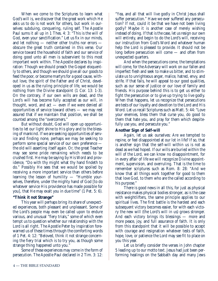When we come to the Scriptures to learn what God's will is, we discover that the great work which He asks us to do is not work for others, but work in ourselves: subduing, conquering, ruling self. The Apostle Paul sums it all up in 1 Thes. 4: 3: "This is the will of God, even your sanctification." Let us fix in our minds, and let nothing — neither other truths nor errors obscure the great truth contained in this verse. Our service toward the household of faith and our service of doing good unto all men is subservient to this most important work within. The Apostle declares by inspiration: Though we should preach the Gospel eloquently to others, and though we should give all our goods to feed the poor, or become martyrs for a good cause, without love, the spirit of the Father and of Christ, developed in us as the ruling principle of life, we would be nothing from the Divine standpoint (1 Cor. 13: 1-3). On the contrary, if our own wills are dead, and the Lord's will has become fully accepted as our will, in thought, word, and act — even if we were denied all opportunities of service toward others — we may rest assured that if we maintain that position, we shall be counted among the "overcomers."

But without doubt, God will open up opportunities to let our light shine to His glory and to the blessing of mankind. If we are seeking opportunities of service and finding none, perhaps we may be seeking to perform some special service of our own preference the old will asserting itself again. Or, the great Teacher may see some pride remaining which needs to be crushed first. He may be saying by His Word and providence, "Do with thy might what thy hand findeth to do." Possibly He sees that we would be spoiled by receiving a more important service than others before learning the lesson of humility — "Humble yourselves, therefore, under the mighty hand of God [to do whatever service His providence has made possible for you], that He may exalt you in due time" (1 Pet. 5: 6).

# **"Think it not Strange"**

This year will perhaps bring its share of unexpected experiences, both pleasant and unpleasant. Some of the Lord's people may even be called upon to endure various, and unusual "fiery trials," some of which even tempt us to question whether our relationship with the Lord is all right. The Apostle Peter by inspiration forewarned us of these times through the comforting words of 1 Pet. 4: 12: "Beloved, think it not strange concerning the fiery trial which is to try you, as though some strange thing happened unto you."

Some of these experiences may come in the form of persecution. The Apostle Paul declared in 2 Tim. 3: 12:

"Yea, and all that will live godly in Christ Jesus shall suffer persecution." Have we ever suffered any persecution? If not, could it be that we have not been living godly? Maybe it is another case of merely wishing instead of doing. If that is the case, let us resign our own will entirely, and begin to do the Lord's will, receiving our instruction from God's Word and whatever human help the Lord is pleased to provide. It should not be long before persecution will come — and often from unexpected quarters.

And when the persecutions come, the temptations will come, for the Adversary will work on our fallen and imperfect flesh and seek to make us bitter, and to stimulate us to unrighteous anger, malice, hatred, envy, and strife. If that fails, he will appeal to our good qualities, such as our sense of justice or our love of family and friends. His purpose behind this is to get us either to fight the persecution or to give up trying to live godly. When that happens, let us recognize that persecutions are tests of our loyalty and devotion to the Lord and His Word. Let us recall Scriptures such as Matt. 5: 44: "Love your enemies, bless them that curse you, do good to them that hate you, and pray for them which despitefully use you, and persecute you."

# **Another Sign of Self-will**

Again, let us ask ourselves: Are we tempted to repine, or feel disappointed at our lot in life? If so, that is another sign that the self-will within us is not as dead as we had hoped. If our wills are buried within the will of the Lord, we can know no disappointment, for in every affair of life we will recognize Divine appointment, supervision, and overruling. That is the time to remember scriptures such as Rom. 8: 28: "And we know that all things work together for good to them that love God, to them who are the called according to his purpose."

There is good news in all this, for just as physical resistance makes physical bodies stronger, as is the case with weightlifters, the same principle applies to our spiritual lives. The first battle is the hardest and each subsequent victory becomes easier, for with each victory the new will (the Lord's will in us) grows stronger. And each victory brings its blessings — more and more peace, joy, and full assurance of faith. It is only from this standpoint that it will be possible to accept with courage and resignation whatever tests of faith, hope, love, or patience the Lord may see fit to place on you this year.

Let us briefly consider the verses in John chapter 5 leading up to our motto text. Jesus had just been performing healings on the Sabbath day and many Jews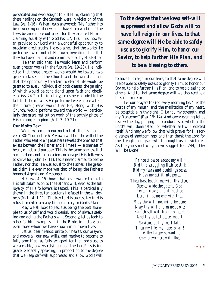persecuted and even sought to kill Him, claiming that these healings on the Sabbath were in violation of the Law (vs. 1-16). When Jesus answered: "My Father has been working until now, and I have been working," the Jews became more outraged, for they accused Him of claiming equality with God (vs. 17, 18). This, however, provided our Lord with a wonderful opportunity to proclaim great truths. He explained that the works He performed were not of His own invention, but that they had been taught and commissioned by His Father.

He then said that He would learn and perform even greater works in the future (vs. 19-23). He indicated that those greater works would be toward two general classes — the Church and the world — and that the opportunity to attain to eternal life would be granted to every individual of both classes, the gaining of which would be conditional upon faith and obedience (vs. 24-29). Incidentally, Jesus here alluded to the fact that the miracles He performed were a foretaste of the future greater works that He, along with His Church, would perform toward the world — particularly the great restitution work of the earthly phase of His coming Kingdom (Acts 3: 19-21).

#### **Our Motto Text**

We now come to our motto text, the last part of verse 30: "I do not seek My own will but the will of the Father who sent Me." Jesus here reveals the oneness that exists between the Father and Himself — a oneness of heart, mind, and purpose. This is the same oneness that our Lord on another occasion encouraged His followers to strive for (John 17: 11). Jesus never claimed to be the Father, nor that He was equal to the Father. The greatest claim He ever made was that of being the Father's honored Agent and Messenger.

Hebrews 4: 15 shows that Jesus was tested as to His full submission to the Father's will, even as the full loyalty of His followers is tested. This is particularly shown in the three temptations He faced in the wilderness (Matt. 4: 1-11). The key to His success lay in His refusal to entertain anything contrary to God's Plan.

May we all look to Jesus as being the best example to us of self and world denial, and of always seeking and doing the Father's will. Secondly, let us look to other faithful examples — in the Bible, in history, and even those whom we have known in our own lives.

Let us, dear friends, unite our hearts, our prayers, and above all our new wills, and resolve to become as fully sanctified, as fully set apart for the Lord's use as we are able, always relying upon the Lord's assisting grace. Generally speaking, in proportion to the degree that we keep self-will suppressed and allow God's will

*To the degree that we keep self-will suppressed and allow God's will to have full reign in our lives, to that same degree will He be able to safely use us to glorify Him, to honor our Savior, to help further His Plan, and to be a blessing to others.*

to have full reign in our lives, to that same degree will He be able to safely use us to glorify Him, to honor our Savior, to help further His Plan, and to be a blessing to others. And to that same degree will we also receive a blessing in return.

Let our prayers to God every morning be: "Let the words of my mouth, and the meditation of my heart, be acceptable in thy sight, O Lord, my strength, and my Redeemer" (Psa. 19: 14). And every evening let us review the day, judging our conduct as to whether the Lord's will dominated, or whether self-will exerted itself. And may we follow that with prayer for His forgiveness of shortcomings, and then thank the Lord for the strength and grace which brought us our victories. As the year's motto hymn we suggest No. 244, "Thy Will be Done":

> *Prince of peace, accept my will; Bid this struggling flesh be still; Bid my fears and doubtings cease, Hush my spirit into peace. Thou hast bought me with thy blood, Opened wide the gate to God. Peace I crave, and it must be, Lord, in being one with thee.*

*May thy will, not mine, be done; May thy will and mine be one; Banish self-will from my heart, And thy perfect peace impart.*

*Saviour, at thy feet I fall, Thou my life, my hope for all! Let thy happy servant be One forevermore with thee.*

\* \* \*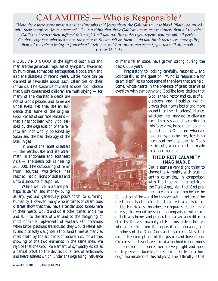# CALAMITIES — Who is Responsible?

*"Now there were some present at that time who told Jesus about the Galileans whose blood Pilate had mixed with their sacrifices. Jesus answered, 'Do you think that these Galileans were worse sinners than all the other Galileans because they suffered this way? I tell you no! But unless you repent, you too will all perish. Or those eighteen who died when the tower in Siloam fell on them — do you think they were more guilty than all the others living in Jerusalem? I tell you, no! But unless you repent, you too will all perish'"*  (Luke 13: 1-5)

NOBLE AND GOOD in the sight of both God and man are the generous impulses of sympathy awakened by hurricanes, tornadoes, earthquakes, floods, train and airplane disasters of recent years. Little more can be claimed as favorable about such calamities or their influence. The existence of charities does not indicate that God's consecrated children are multiplying — for

many of the charitable deeds are not of God's people, and some are unbelievers. Yet they are an evidence that some of the original Godlikeness of our race remains that it has not been wholly obliterated by the degradation of the fall into sin, nor wholly poisoned by Satan and the bad theology of the Dark Ages.

In one of the latest disasters — the earthquake and its aftermath in Indonesia and southeast Asia — the death toll is nearing 300,000. The outpouring of relief from sources worldwide has reached into billions of dollars and untold amounts of supplies.

While we live in a time perhaps as selfish and money-loving

as any, yet aid generously pours forth to suffering humanity. However, many who in times of calamitous distress show that they have a tender spot somewhere in their hearts, would and do at other times lend time and skill to the arts of war, and to the designing of most horrible implements of warfare. On occasions when bitter passions are aroused they would relentlessly and pitilessly slaughter a thousand times as many as meet death by the accidents of nature. Yet, for all this showing of the two elements in the same men, we rejoice that the Godlike element of sympathy exists as a partial offset to the devilish qualities of selfishness and heartlessness which, under the degrading influence



of man's fallen state, have grown strong during the past 6,000 years.

Preparatory to looking carefully, reasonably, and Scripturally at the question: "Who is responsible for calamities?" let us note some of the views that are held. Some, whose hearts in the presence of great calamities overflow with sympathy and Godlike love, declare that

> God is the director and cause of all disasters and troubles (which proves their hearts better and more sound than their theology). Hence, whatever men may do to alleviate such distresses would, according to this false view, be so much done in opposition to God, and whatever love and sympathy they feel is so much sentiment opposed to God's sentiments, which are thus made to appear malicious.

# **THE DIREST CALAMITY IMAGINABLE**

But it seems a very slight thing to charge the Almighty with causing earth's calamities, in comparison with the thought inherited from the Dark Ages, *viz.,* that God premeditated, planned from before the

foundation of the world for the everlasting torture of the great majority of mankind — the direst calamity imaginable. Hurricanes, tornadoes, earthquakes, epidemics of disease, *etc.,* would be small in comparison with such diabolical schemes and preparations as are accredited to God by the vast majority of His misguided children who suffer still from the superstition, ignorance, and blindness of the Dark Ages and its creeds. Alas, that such false conceptions of the justice and love of our Creator should ever have gained a foothold in our minds — to distort our conception of every right and good quality. (See our booklet, *The Hell of the Bible,* for a thorough examination of this subject.) The difficulty is that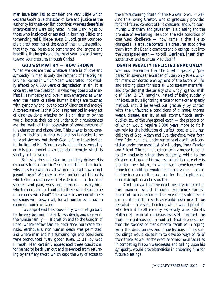men have been led to consider the very Bible which declares God's true character of love and justice as the authority for these devilish doctrines; whereas these false interpretations were originated in the Dark Ages by those who instigated or assisted in burning Bibles and tormenting real Bible believers. O Lord, grant your people a great opening of the eyes of their understanding, that they may be able to comprehend the lengths and breadths, the heights and depths of your love and mercy toward your creatures through Christ!

## **GOD'S SYMPATHY — HOW SHOWN**

When we declare that whatever there is of love and sympathy in man is only the remnant of the original Divine likeness in which Adam was created, not wholly effaced by 6,000 years of degradation in sin, it at once arouses the question: In what way does God manifest His sympathy and love in such emergencies, when even the hearts of fallen human beings are touched with sympathy and love to acts of kindness and mercy? A correct answer is that God is represented in every act of kindness done, whether by His children or by the world, because their actions under such circumstances are the result of their possession of some measure of His character and disposition. This answer is not complete in itself and further explanation is needed to be fully satisfactory, but thank God, a fuller investigation in the light of His Word reveals a boundless sympathy on His part providing an abundant remedy which is shortly to be revealed.

But why does not God immediately deliver His creatures from calamities? Or, to go still further back, why does He (who has all wisdom and all power) not *prevent* them? We may as well include all the evils which God could prevent if He desired — all forms of sickness and pain, wars and murders — everything which causes pain or trouble to those who desire to be in harmony with God? The answer to any one of these questions will answer all, for all human evils have a common source or cause.

To comprehend this cause fully, we must go back to the very beginning of sickness, death, and sorrow in the human family — at creation and to the Garden of Eden, where neither famine, pestilence, hurricane, tornado, earthquake, nor human death was permitted, and where man and his surroundings and conditions were pronounced "very good" (Gen. 1: 31) by God Himself. Man certainly appreciated these conditions, for he had to be driven out and prevented from returning by the fiery sword which kept the way of access to

the life-sustaining fruits of the Garden (Gen. 3: 24). And this loving Creator, who so graciously provided for the life and comfort of His creatures, and who communed with them, and gave them His blessing and the promise of everlasting life upon the sole condition of continued obedience — how came it that He so changed His attitude toward His creatures as to drive them from the Edenic comforts and blessings, out into the unprepared earth — to toil, weariness, insufficient sustenance, and eventually to death?

**DEATH PENALTY INFLICTED GRADUALLY**

We must remember that the Creator specially "prepared" in advance the Garden of Eden only (Gen. 2: 8), for man's comfortable enjoyment of the favors of life, and a fitting place for his trial. God foresaw man's fall, and provided that the penalty of sin, "dying thou shalt die" (Gen. 2: 17, margin), instead of being suddenly inflicted, as by a lightning stroke or some other speedy method, should be served out gradually by contact with the unfavorable conditions of climate, thorns, weeds, disease, sterility of soil, storms, floods, earthquakes, *etc*., of the unprepared earth — the preparation of which would require 7,000 years more to fit it entirely for the habitation of perfect, obedient, human children of God. Adam and Eve, therefore, went forth from Eden convicts, under sentence of death, self-convicted under the most just of all judges, their Creator and Friend. The convicts esteemed it a mercy to be let to die gradually rather than suddenly, while to the Creator and Judge this was expedient because of His plan for their future, in which such experience with imperfect conditions would be of great value — a plan for the increase of the race, and for its discipline and final redemption and restoration.

God foresaw that the death penalty, inflicted in this manner, would through experience furnish mankind such a lesson on the exceeding sinfulness of sin and its baneful results as would never need to be repeated — a lesson, therefore, which would profit all who learn it to all eternity, especially when Christ's Millennial reign of righteousness shall manifest the fruits of righteousness in contrast. God also designed that the exercise of man's mental faculties in coping with the disturbances and imperfections of his surroundings would cause him to develop ways of relief from these, as well as the exercise of his moral faculties in combating his own weaknesses, and calling upon his sympathy, would prove beneficial in preparing him for future blessings.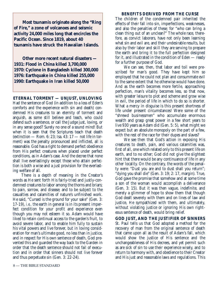**Most tsunamis originate along the "Ring of Fire," a zone of volcanoes and seismic activity 24,000 miles long that encircles the Pacific Ocean. Since 1819, about 40 tsunamis have struck the Hawaiian Islands.**

**Other more recent natural disasters — 1931: Flood in China killed 3,700,000 1970: Cyclone in Bangladesh killed 300,000 1976: Earthquake in China killed 255,000 1990: Earthquake in Iran killed 50,000**

**ETERNAL TORMENT — UNJUST, UNLOVING** Had the sentence of God (in addition to a loss of Eden's comforts and the experience with sin and death) condemned His creatures to an eternity of torment and anguish, as some still believe and teach, who could defend such a sentence, or call the Judge just, loving, or in any sense good? Surely no one of a sound mind! But when it is seen that the Scriptures teach that death (extinction — Rom. 6: 23; Isa. 43: 17 — not life in torment) was the penalty pronounced and inflicted, all is reasonable. God has a right to demand perfect obedience from His perfect creatures when placed under perfect conditions, as in Adam's case. And the decree that none shall live everlastingly except those who attain perfection is both a wise and a just provision for the everlasting welfare of all.

There is a depth of meaning in the Creator's words as He sent forth His fairly-tried and justly-condemned creatures to labor among the thorns and briars; to pain, sorrow, and disease; and to be subject to the casualties and calamities of nature's unfinished work. He said, "Cursed is the ground for your sake" (Gen. 3: 17-19), *i.e.,* the earth in general is in its present imperfect condition for your profit and experience even though you may not esteem it so. Adam would have liked to retain continual access to the garden's fruit, to avoid severe labor, and to enable him fully to sustain his vital powers and live forever, but in loving consideration for man's ultimate good, no less than in justice, and in respect for His own sentence of death, God prevented this and guarded the way back to the Garden in order that the death sentence should not fail of execution and in order that sinners should not live forever and thus perpetuate sin (Gen. 3: 22-24).

#### **BENEFITS DERIVED FROM THE CURSE**

The children of the condemned pair inherited the effects of their fall into sin, imperfections, weaknesses, and also the penalties of these; for "who can bring a clean thing out of an unclean?" The whole race, therefore, as convict laborers, have not only been learning what sin and evil are, and their undesirable results, but also by their labor and skill they are serving to prepare the earth and bring it to the full perfection designed for it, and illustrated in the condition of Eden — ready for a further purpose of God.

We can see, then, that labor and toil were prescribed for man's good. They have kept him so employed that he could not plan and consummate evil to the same extent that he otherwise would have done. And as the earth becomes more fertile, approaching perfection, man's vitality becomes less, so that now, with greater leisure to plot and scheme and grow wise in evil, the period of life in which to do so is shorter. What a mercy in disguise is this present shortness of life under present circumstances! Were some of the "shrewd businessmen" who accumulate enormous wealth and grasp great power in a few short years to live 930 years as Adam did (Gen. 5: 5), what might we expect but an absolute monopoly on the part of a few, with the rest of the race for their dupes and slaves?

We see then that God's action in exposing His creatures to death, pain, and various calamities was, first of all, one which related only to this present life on earth, and to no other; God did not give the slightest hint that there would be any continuance of life in any other locality. On the contrary, the words of the penalty were: "Dust you are and to dust shall you return"; "dying you shall die" (Gen. 3: 19; 2: 17, margin). True, God gave the promise that somehow and at some time a son of the woman would accomplish a deliverance (Gen. 3: 15). But it was then vague, indefinite, and merely a glimmer of hope to show them that though God dealt severely with them and on lines of law and justice, He sympathized with them, and ultimately, without violating justice or ignoring His own righteous sentence of death, would bring relief.

**GOD JUST, AND THE JUSTIFIER OF SINNERS** St. Paul tells us that God adopted a method for the recovery of man from the original sentence of death that came upon all as the result of Adam's fall, which would show the justice of His sentence and the unchangeableness of His decrees, and yet permit such as are sick of sin to use their experience wisely, and to return to harmony with, and obedience to their Creator and His just and reasonable laws and regulations. This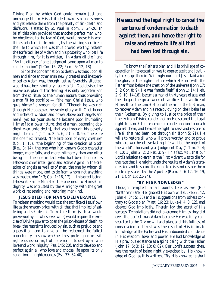Divine Plan by which God could remain just and unchangeable in His attitude toward sin and sinners and yet release them from the penalty of sin (death and disfavor), is stated by St. Paul in Rom. 3: 24-26. In brief, this plan provided that another perfect man who, by obedience to the law of God, would prove His worthiness of eternal life, might, by the willing sacrifice of the life to which He was thus proved worthy, redeem the forfeited life of Adam and his posterity who lost life through him, for it is written, "In Adam all die," and "By the offence of one, judgment came upon all men to condemnation" (1 Cor. 15: 22; Rom. 5: 12, 18).

Since the condemnation to death was thus upon all men and since another man newly created and inexperienced as Adam was, though just as favorably situated, would have been similarly liable to fall, God devised the marvelous plan of transferring His only begotten Son from the spiritual to the human nature, thus providing a man fit for sacrifice — "the man Christ Jesus, who gave himself a ransom for all." "Though he was rich [though He possessed heavenly glory with God, honor and riches of wisdom and power above both angels and men], yet for your sakes he became poor [humbling Himself to a lower nature, that of a man, becoming obedient even unto death], that you through his poverty might be rich" (1 Tim. 2: 5, 6; 2 Cor. 8: 9). Therefore the one first created, "the first-born of every creature" (Col. 1: 15), "the beginning of the creation of God" (Rev. 3: 14), the one who had known God's character longer, more fully, and more intimately than any other being — the one in fact who had been honored as Jehovah's chief intelligent and active Agent in the creation of angels as well as of men, the one by whom all things were made, and aside from whom not anything was made (John 1: 3; Col. 1: 16, 17) — this great being, Jehovah's Prime Minister, the one next to Himself in dignity, was entrusted by the Almighty with the great work of redeeming and restoring mankind.

## **JESUS DIED FOR MAN'S DELIVERANCE**

To redeem mankind would cost the sacrifice of Jesus' own life as the ransom-price, with all that that implied of suffering and self-denial. To restore them (such as would prove worthy — whosoever wills) would require the exercise of Divine power to open the prison-house of death, to break the restraints induced by sin, such as prejudice and superstition, and to give all the redeemed the fullest opportunity to show whether they prefer good or evil, righteousness or sin, truth or error — to destroy all who love and work iniquity (Psa. 145: 20), and to develop and perfect again all who love and choose life upon its only condition — righteousness (Psa. 37: 34-40).

*He secured the legal right to cancel the sentence of condemnation to death against them, and hence the right to raise and restore to life all that had been lost through sin.*

To know the Father's plan and His privilege of cooperation in its execution was to appreciate it and joyfully to engage therein. Willingly our Lord Jesus laid aside the glory of the higher nature which He had with the Father from before the creation of the universe (John 17: 5; 2 Cor. 8: 9). He was "made flesh" (John 1: 14; Heb. 2: 9, 10, 14-18), became a man at thirty years of age, and then began the great work of sacrifice, the sacrifice of Himself for the cancellation of the sin of the first man, to recover Adam and his race by dying on their behalf as their Redeemer. By giving to Justice the price of their liberty from Divine condemnation He secured the legal right to cancel the sentence of condemnation to death against them, and hence the right to raise and restore to life all that had been lost through sin (John 5: 21). He wills to restore all who will prove worthy, and to prove who are worthy of everlasting life will be the object of the world's thousand-year Judgment Day (1 Tim. 2: 4; 4: 10; 1 John 2: 2; 2 Pet. 3: 9). This fact, *viz*., that our Lord's mission to earth at the First Advent was to die for the race that He might undo the results of Adam's transgression and to secure the right to raise and restore them is clearly stated by the Apostle (Rom. 5: 6-12, 16-19, 21; 1 Cor. 15: 21-24).

## **"BY HIS KNOWLEDGE"**

Though tempted in all points like as we (His "brethren") are, He ignored His own will (Luke 22: 42; John 4: 34; 5: 30) and all suggestions from others contrary to God's plan (Matt. 16: 23; Luke 4: 4, 8, 12), and obeyed God implicitly. Therein lay the secret of His success. Temptations did not overcome Him as they did even the perfect man Adam because He was fully consecrated to the Divine will and plan, and this fullness of consecration and trust was the result of His intimate knowledge of the Father and His unbounded confidence in His wisdom, love, and power. He had knowledge of His previous existence as a spirit being with the Father (John 17: 5; 3: 12, 13; 6: 62). Our Lord's success, then, was the result of being rightly exercised by His knowledge of God, as it is written, "By His knowledge shall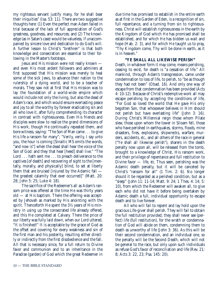my righteous servant justify many, for he shall bear their iniquities" (Isa. 53: 11). There are two suggestive thoughts here: (1) Even the perfect man Adam failed in trial because of the lack of full appreciation of God's greatness, goodness, and resources; and (2) The knowledge (as in Satan's case) would be valueless, if unaccompanied by sincere love and dedication to do God's will. A further lesson to Christ's "brethren" is that both knowledge and consecration are essential to their following in the Master's footsteps.

Jesus and His mission were not really known and even His most ardent followers and admirers at first supposed that His mission was merely to heal some of the sick Jews, to advance their nation to the rulership of a dying world, and to be a teacher of morals. They saw not at first that His mission was to lay the foundation of a world-wide empire which would include not only the living, but also the dead of Adam's race, and which would ensure everlasting peace and joy to all the worthy by forever eradicating sin and all who love it, after fully comprehending its character in contrast with righteousness. Even His friends and disciples were slow to realize the grand dimensions of His work, though He continually repeated them, and bore witness, saying: "The Son of Man came . . . to give His life a ransom for many"; "Verily, verily, I say unto you, the hour is coming [Sinaitic MS omits the words, "and now is"] when the dead shall hear the voice of the Son of God: and they that hear [heed] shall live." "The Lord . . . hath sent me . . . to preach deliverance to the captives [of death] and recovering of sight to the [mentally, morally, and physically] blind, to set at liberty them that are bruised [injured by the Adamic fall the greatest calamity that ever occurred]" (Matt. 20: 28; John 5: 25; Luke 4: 18).

The sacrifice of the Redeemer's all as Adam's ransom price was offered at the time He was thirty years old — at His baptism. There the offering was accepted by Jehovah as marked by His anointing with the spirit. Thenceforth He spent the 3½ years of His ministry in using up the consecrated life already offered, and this He completed at Calvary. There the price of our liberty was fully laid down, when our Lord uttered, "It is finished!" It is acceptable by the grace of God as the offset and covering for every weakness and sin of the first man and his posterity, resulting either directly or indirectly from the first disobedience and the fall. All that is necessary since, for a full return to Divine favor and communion and to an inheritance in the Paradise (garden) of God which the great Redeemer in due time has promised to establish in the entire earth as at first in the Garden of Eden, is a recognition of sin, full repentance, and a turning from sin to righteousness. Christ will establish righteousness in the earth by the Kingdom of God which He has promised shall be established, and for which He has bidden us wait and hope (Hab. 2: 3), and for which He taught us to pray, "Thy Kingdom come, Thy will be done in earth, as it is in heaven."

## **"YE SHALL ALL LIKEWISE PERISH"**

Death, in whatever form it may come, means perishing, ceasing to exist, for death is "a cessation of life." All mankind, through Adam's transgression, came under condemnation to loss of life, to perish, to "be as though they had not been" (Obad. 16). And only one way of escape from that condemnation has been provided (Acts 4: 10-12). Because of Christ's redemptive work all may escape perishing by accepting the conditions of life, "For God so loved the world that He gave His only begotten Son, that whosoever believes in Him should not perish but have everlasting life" (John 3: 16). During Christ's Millennial reign those whom Pilate slew, those upon whom the tower in Siloam fell, those who have perished in earthquakes, storms, floods, mine disasters, fires, explosions, shipwrecks, warfare, murders, accidents, *etc*., and all others of the race in general ("Ye shall all likewise perish"), sharers in the death penalty now upon all, will be released from the tomb, brought to a knowledge of Christ, His ransom work, and their privilege of repentance and full restitution to Divine favor — life, *etc*. Thus seen, perishing was the Adamic death penalty, but it will be canceled by Christ's "ransom for all" (1 Tim. 2: 6). No longer should it be regarded as a perished condition, but as a "sleep" (John 11: 11-14; Matt. 9: 24; 1 Thes. 4: 14; 5: 10), from which the Redeemer will awaken all, to give each who did not have it before being overtaken by Adamic death a full, individual opportunity to escape death and to live forever.

All who will fail to repent and lay hold upon the gracious Life-giver shall perish. They will fail to obtain the full restitution provided; they shall never see (perfect) life (full restitution), for the wrath or condemnation of God will abide on them, condemning them to death as unworthy of life (John 3: 36). As this will be their second condemnation, and an individual one, so the penalty will be the Second Death, which will not be general to the race, but only upon such individuals as refuse God's favor of reconciliation and life (Rev. 21: 8; Acts 3: 22, 23; Psa. 145: 20).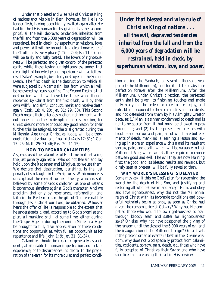Under that blessed and wise rule of Christ as King of nations (not visible in flesh, however, for He is no longer flesh, having been highly exalted again after He had finished His human life by giving it as the ransomprice), all the evil, depraved tendencies inherited from the fall and from the 6,000 years of degradation will be restrained, held in check, by superhuman wisdom, love, and power. All will be brought to a clear knowledge of the Truth in its every phase (1 Tim. 2: 4; Isa. 11: 9), and will be fairly and fully tested. The lovers of righteousness will be perfected and given control of the perfected earth, while those loving unrighteousness under that clear light of knowledge and experience will, as followers of Satan's example, be utterly destroyed in the Second Death. The first death is the destruction to which all were subjected by Adam's sin, but from which all will be recovered by Jesus' sacrifice. The Second Death is that destruction which will overtake those who, though redeemed by Christ from the first death, will by their own willful and sinful conduct, merit and receive death again (Ezek. 18: 4, 20; Jer. 31: 29, 30). This Second Death means their utter destruction, not torment, without hope of another redemption or resurrection, for Christ dies no more. Nor could any good reason for their further trial be assigned, for the trial granted during the Millennial Age under Christ, as Judge, will be a thorough, fair, individual, and final trial (Acts 17: 31; 1 Cor. 15: 25; Matt. 25: 31-46; Rev. 20: 11-15).

## **HOW TO REGARD CALAMITIES**

As Jesus used the calamities of His time in illustrating the just penalty against all who do not flee sin and lay hold upon the Redeemer and Lifegiver, so we use them. We declare that destruction, perishing, is the just penalty of sin taught in the Scriptures. We denounce as unscriptural the eternal torment theory, which is still believed by some of God's children, as one of Satan's blasphemous slanders against God's character. And we proclaim that only by repentance, reformation, and faith in the Redeemer can the gift of God, eternal life through Jesus Christ our Lord, be obtained. Whoever hears the offer of life is responsible to the extent that he understands it, and, according to God's promise and plan, all mankind shall, at some time, either during the Gospel Age, or during the coming Millennial Age, be brought to full, clear appreciation of these conditions and opportunities, with fullest opportunities for repentance and life (John 1: 9; Jer. 31: 31-34).

Calamities should be regarded generally as accidents, attributable to human imperfection and lack of experience, or to disturbances incidental to the preparation of the earth for its more quiet and perfect condi-

*Under that blessed and wise rule of Christ as King of nations . . . all the evil, depraved tendencies inherited from the fall and from the 6,000 years of degradation will be restrained, held in check, by superhuman wisdom, love, and power.*

tion during the Sabbath, or seventh thousand-year period (the Millennium), and for its state of absolute perfection forever after the Millennium. After the Millennium, under Christ's direction, the perfected earth shall be given its finishing touches and made fully ready for the redeemed race to use, enjoy, and rule. Man is exposed to these calamities and accidents, and not defended from them by his Almighty Creator because: (1) Man is a sinner condemned to death and is not to be spared from it, but must be allowed to pass through it; and (2) by the present experiences with trouble and sorrow and pain, all of which are but elements of death, mankind is learning a lesson and laying up in store an experience with sin and its resultant sorrow, pain, and death, which will be valuable in that Millennial Age, when each shall be required to choose between good and evil. The evil they are now learning first; the good, and its blessed results and rewards, but dimly seen at present, will be fully revealed then.

**WHY WORLD'S BLESSING IS DELAYED** Some may ask, If this be God's plan for redeeming the world by the death of His Son, and justifying and restoring all who believe in and accept Him, and obey and love righteousness, why did not the Millennial reign of Christ with its favorable conditions and powerful restraints begin at once, as soon as Christ had given the ransom-price at Calvary? Why has He compelled those who would follow righteousness to "sail through bloody seas" and suffer for righteousness' sake? Or else, why not have postponed the giving of the ransom until the close of the 6,000 years of evil and the inauguration of the Millennial reign? Or, at least, if the present order of events is best in the Divine wisdom, why does not God specially protect from calamities, accidents, sorrow, pain, death, *etc*., those who have fully accepted of Christ as their Savior and who have sacrificed and are using their all in His service?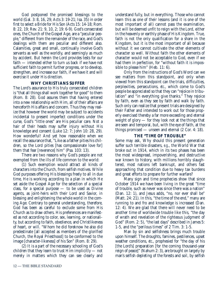God postponed the promised blessings to the world (Gal. 3: 8, 16, 29; Acts 3: 19-21; Isa. 35) in order first to select a Bride for His Son (Acts 15: 14-18; Rom. 8: 22, 19; Rev. 21: 9, 10, 2; 19: 6-9). God's consecrated ones, the Church of the Gospel Age, are a "peculiar people," different from the remainder of the race, and God's dealings with them are peculiar and different also. Calamities, great and small, continually involve God's servants as well as the worldly, and seemingly as much by accident. But herein the Lord provides tests for our faith — intended either to turn us back if we have not sufficient faith to permit further progress, or to develop, strengthen, and increase our faith, if we have it and will exercise it under His direction.

## **WHY CHRISTIANS SUFFER**

The Lord's assurance to His truly consecrated children is "that all things shall work together for good" to them (Rom. 8: 28). God assures them that having entered into a new relationship with Him, all of their affairs are henceforth His affairs and concern. Thus they may realize that however the world may be subject to accidents incidental to present imperfect conditions under the curse, God's "little ones" are His peculiar care. Not a hair of their heads may suffer injury without His knowledge and consent (Luke 12: 7; John 10: 28, 29). How wonderful! And yet how reasonable when we recall the assurance that, "Like as a father pities his children, so the Lord pities [has compassionate love for] them that fear [reverence] him" (Psa. 103: 13).

There are two reasons why God's people are not exempted from the ills of life common to the world:

(1) Such exemption would attract all kinds of characters into the Church, from selfish motives. While God purposes offering His blessings freely to all in due time, He is working according to a plan in which He set aside the Gospel Age for the selection of a special class, for a special purpose — to be used as Divine agents, as joint-heirs with their Lord and Savior, in blessing and enlightening the whole world in the coming Age. Contrary to general understanding, therefore, God has been as careful to exclude some from His Church as to draw others. His preferences are manifested as not according to color, sex, learning, or nationality, but according to faith, obedience, and Christlikeness of heart, or will. "Whom he did foreknow he also did predestinate [all accepted as members of the glorified Church, the Royal Priesthood] to be conformed to the image [character-likeness] of his Son" (Rom. 8: 29).

(2) It is a part of the necessary schooling of God's children that they learn to trust Him implicitly — not merely in matters which they can see clearly and

understand fully, but in everything. Those who cannot learn this as one of their lessons (and it is one of the most important of all) cannot pass the examination, but will be deemed unfit to reign with the Lord, either in the heavenly or earthly phase of His Kingdom. True, faith is not the only qualification for a share in the Kingdom, but it is the most important of all because without it we cannot cultivate the other elements of character so well. Without faith the other elements of character would not be acceptable to God, even if we had them in perfection, for "without faith it is impossible to please him" (Heb. 11: 6).

Only from the instructions of God's Word can we see matters from this standpoint, and only when viewed from this standpoint can the trials, difficulties, perplexities, persecutions, *etc*., which come to God's people be appreciated so that they can "rejoice in tribulation" and "in everything give thanks." They rejoice by faith, even as they see by faith and walk by faith. Such only can realize that present trials are designed by their Father and intended to work out for those properly exercised thereby a far more exceeding and eternal weight of glory — for they look not at the things that are seen and temporal, but, with the eye of faith, at the things promised — unseen and eternal (2 Cor. 4: 18).

#### **THE "TIME OF TROUBLE"**

Some may ask, Why should this present generation suffer such terrible disasters, *e.g*., the World War that broke out in 1914, which in its two phases has been the most widespread, impoverishing, and destructive war known to history, with millions horribly slaughtered, most nations left bankrupt, and others fast approaching that condition due to heavy tax burdens and great efforts to prepare for further warfare?

Many sign and time prophecies show that since October 1914 we have been living in the great "time of trouble, such as never was since there was a nation" (Dan. 12: 1), and Jesus adds, "no, nor ever shall be" (Matt. 24: 21). In this, "the time of the end," many are running to and fro and knowledge is increased (Dan. 12: 4). We are glad that there will never need to be another time of worldwide trouble like this, "the day of wrath and revelation of the righteous judgment of God" (Rom. 2: 5), "the last days" described in James 5: 1-5, and the "perilous times" of 2 Tim. 3: 1-5.

Man by sin and selfishness brings much trouble upon himself. The droughts, famines, pestilences, upset weather conditions, *etc*., prophesied for "the day of his [the Lord's] preparation [for the coming thousand-year reign of peace]" (Nahum 2: 3), are brought on largely by man's selfish depleting of the forests and soil, by selfish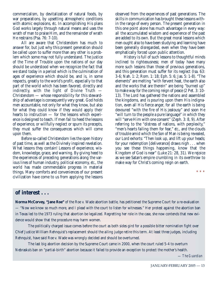commercialism, by devitalization of natural foods, by war preparations, by upsetting atmospheric conditions with atomic explosions, *etc*. In accomplishing His plans God works largely through natural means and uses the wrath of man to praise Him, and the remainder of wrath He restrains (Psa. 76: 7-10).

All are aware that Christendom has much to answer for, but just why this present generation should be called upon to suffer more than any other is a problem which some may not fully understand. The justice of the Time of Trouble upon the nations of our day should be understood when we recognize the fact that we stand today in a period which is the culmination of ages of experience which should be, and is, in some respects, greatly to the world's profit, especially to that part of the world which has been favored, directly and indirectly, with the light of Divine Truth — Christendom — whose responsibility for this stewardship of advantage is consequently very great. God holds men accountable, not only for what they know, but also for what they could know if they would apply their hearts to instruction — for the lessons which experience is designed to teach. If men fail to heed the lessons of experience, or willfully neglect or spurn its precepts, they must suffer the consequences which will come upon them.

Before so-called Christendom lies the open history of past time, as well as the Divinely inspired revelation. What lessons they contain! Lessons of experience, wisdom, knowledge, grace, and warning. By giving heed to the experiences of preceding generations along the various lines of human industry, political economy, *etc*., the world has made commendable progress in material things. Many comforts and conveniences of our present civilization have come to us from applying the lessons observed from the experiences of past generations. The skills in communication has brought these lessons within the range of every person. The present generation in this one point alone has much advantage in every way: all the accumulated wisdom and experience of the past are added to its own. But the great moral lessons which men ought also to have been studying and learning have been generally disregarded, even when they have been emphatically forced upon public attention.

History is full of such lessons to thoughtful minds inclined to righteousness; men of today have many more such lessons than those of previous generations, and this generation must suffer for its neglect (Isa. 63: 3-6; Nah. 1: 2; Rom. 1: 18; Eph. 5: 6; Jas. 5: 1-8). "The elements" are melting "with fervent heat, the earth also and the works that are therein" are being "burned up" to make way for the coming reign of peace (2 Pet. 3: 10- 13). The Lord has gathered the nations and assembled the kingdoms, and is pouring upon them His indignation, even all His fierce anger, for all the earth is being devoured "with the fire of His jealousy" and soon He "will turn to the people a pure language" in which they will "serve Him with one consent" (Zeph. 3: 8, 9). After referring to the "distress of nations, with perplexity," "men's hearts failing them for fear," *etc*., and the clouds of trouble amid which the Son of Man is being revealed, our Lord exhorts: "Then look up, and lift up your heads; for your redemption [deliverance] draws nigh . . . when you see these things happening, know that the Kingdom of God is near" (Luke 21: 28, 31). We rejoice as we see Satan's empire crumbling in its overthrow to make way for Christ's coming reign on earth.

\* \* \*

# **of interest . . .**

**Norma McCorvey, "Jane Roe"** of the Roe v. Wade abortion battle, has petitioned the Supreme Court for a re-evaluation — "Now we know so much more, and I plead with the court to listen for witnesses." Her protest against the abortion ban in Texas led to the 1973 ruling that abortion be legalized. Regretting her role in the case, she now contends that new evidence would show that the procedure may harm women.

The politically charged issue comes before the court as both sides gird for a possible bitter nomination fight over Chief Justice William Rehnquist's replacement should the ailing judge retire this term. At least three judges, including Rehnquist, have said Roe v. Wade was wrongly decided and should be overturned.

The last big abortion decision by the Supreme Court came in 2000, when the court ruled 5-4 to overturn Nebraska's ban on "partial-birth" abortion because it failed to provide an exception to protect the mother's health.

— *The Guardian*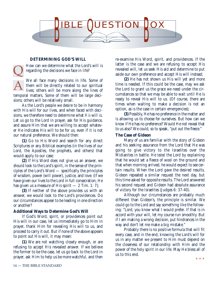

## **DETERMINING GOD'S WILL**

How can we determine what the Lord's will is regarding the decisions we face in life?

We all face many decisions in life. Some of them will be directly related to our spiritual lives; others will be more along the lines of temporal matters. Some of them will be large decisions; others will be relatively small. A  $\overline{\mathsf{Q}}$ 

As the Lord's people we desire to be in harmony with His will for our lives, and when faced with decisions, we therefore need to determine what *His* will is. Let us go to the Lord in prayer, ask for His guidance, and assure Him that we are willing to accept whatever He indicates His will to be for us, even if it is not our natural preference. We should then:

**(1)** Go to His Word and search for any direct Scriptures or any Biblical examples (in the lives of our Lord, the Apostles, the prophets, and others) that would apply to our case;

**(2)** If His Word does not give us an answer, we should look to the Lord's spirit, in the sense of the principles of the Lord's Word — specifically the principles of wisdom, power (will power), justice, and love. (If we have given our lives to the Lord in full consecration, He has given us a measure of His spirit  $-2$  Tim. 1: 7);

**(3)** If neither of the above provides us with an answer, we would look to the Lord's providences. Do our circumstances appear to be leading in one direction or another?

#### **Additional Ways to Determine God's Will**

If God's Word, spirit, or providences point out His will in our case, let us immediately go to Him in prayer, thank Him for revealing His will to us, and proceed to carry it out. But if none of the above appears to point out His will, it may mean:

**(1)** We are not watching closely enough, or are refusing to accept His revealed answer. If we believe the former to be the case, let us go back to the Lord in prayer, ask Him to help us be more watchful, and then

re-examine His Word, spirit, and providences. If the latter is the case and we are refusing to accept His revealed will, let us seek His aid and determine to put aside our own preference and accept His will instead;

**(2)** He has not shown us His will yet and more time is needed. If this could be the case, may we ask the Lord to grant us the grace we need under the circumstances so that we may be able to wait until He is ready to reveal His will to us. (Of course, there are times when waiting to make a decision is not an option, as is the case in certain emergencies);

**(3)** Possibly, He has no preference in the matter and is allowing us to choose for ourselves. But how can we know if He has no preference? Would He not reveal that to us also? We could, so to speak, "put out the fleece."

#### **The Case of Gideon**

Many of us are familiar with the story of Gideon and his seeking assurance from the Lord that He was going to give victory to the Israelites over the Midianites in battle. He *tested* the Lord by explaining that he would set a fleece of wool on the ground and that when morning arrived, he would expect to see certain results. When the Lord gave the desired results, Gideon repeated a similar request the next day, but this time asked for opposite results. The Lord answered his second request and Gideon had absolute assurance of victory for the Israelites (Judges 6: 37-40).

Although our circumstances are probably much different than Gideon's, the principle is similar. We could go to the Lord and say something like the following: "Lord, you know what I would prefer. If that is in accord with your will, let my course run smoothly. But if I am making a wrong decision, put hindrances in the way and don't let me make a big mistake."

Probably there is no positive formula that will fit every case, and in the end, knowing the Lord's will for us in any matter we present to Him must depend on the closeness of our relationship with Him and the power of the holy spirit in our life. May He bless all of us to this end.

\* \* \*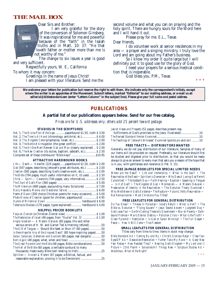# **THE MAIL BOX**



Dear Sirs and Brother:

I am very grateful for the story of the conversion of Solomon Ginsberg. It was inspirational for me and powerful because of the "faith" in the Isaiah truths and in Matt. 10: 37: "He that loveth father or mother more than me is not worthy of me."

The change to six issues a year is good and very sufficient.

Respectfully yours, W. E., California

To whom it may concern:

Greetings in the name of Jesus Christ!

I am pleased with your literature. Send me the

second volume and what you can on praying and the holy spirit. There are hungry souls for the Word here and I will hand it out.

Please pray for me. E.L., Texas Dear friends,

I do volunteer work at senior residences in my area — a prayer and a singing ministry. I truly love the Lord and am going about my Father's business.

So I know my order it quite large but I will definitely put it to good use for the glory of God.

I need your prayers for a serious medical condition that is inoperable.

God bless you. P.M., Texas

\* \* \*

**We welcome your letters for publication but reserve the right to edit them. We indicate only the correspondent's initials, except where the writer is an appointee of the Movement. Submit letters, marked "Editorial" to our mailing address, or e-mail us at:** *editorial@biblestandard.com* **(enter "Letters Column" in the subject line).** *Please give your full name and postal address.*

# **PUBLICATIONS**

#### **A partial list of our publications appears below. Send for our free catalog.**

*Prices are for U.S. addresses only; others add 25 percent toward postage.*

#### **STUDIES IN THE SCRIPTURES**

| Vol. 1, The Divine Plan of the Ages  paperbound \$1.50, cloth \$3.00     |  |
|--------------------------------------------------------------------------|--|
| Vol. 2, The Time Is At Hand (chronology, antichrist, etc.) \$4.00        |  |
|                                                                          |  |
| Vol. 4, The Battle of Armageddon (the great conflict)  \$ 2.00           |  |
| Vol. 5, The At-One-Ment Between God and Man (clearly explained)  \$ 2.00 |  |
| Vol. 6, The New Creation (its duties, baptism, sabbath, etc.) \$2.50     |  |
| Complete set of these clothbound "Bible keys" \$10.95                    |  |

#### **ATTRACTIVE HARDBOUND BOOKS**

| $Life$ — Death — Hereafter (224 pages)  paperbound \$1.50, cloth \$2.00 |
|-------------------------------------------------------------------------|
| God (547 pages; describing Jehovah's great attributes, etc.)  \$2.00    |
| Creation (585 pages; describing God's creative work, etc.) \$2.00       |
| The Bible (794 pages; much useful information on it, its uses)  \$2.50  |
| $Christ - Spirit - Covenants (744 pages, very informative) $ \$ 2.50    |
|                                                                         |
| The Millennium (480 pages; expounding many Scriptures)  \$7.00          |
|                                                                         |
| Poems of Dawn (300 choice Christian poems for many occasions) \$5.00    |
| <i>Photo-Drama of Creation</i> (good for children; paperbound)  \$4.95  |
|                                                                         |
| Tabernacle Shadows (176 pages, types explained)  hardbound \$4.00       |

#### **HELPFUL PRICED BOOKLETS**

*Jewish Hopes and Prospects* (52 pages; describes present-day

| fulfillments of God's promises to the Jews; illustrated)10              |  |
|-------------------------------------------------------------------------|--|
|                                                                         |  |
| The Teachings of "Jehovah's Witnesses" Examined (points pro and con) 10 |  |

#### **FREE TRACTS — DISTRIBUTORS WANTED**

Generally we do not pay distributors of our literature. Samples of many of our items will be provided on request. Preferably, our literature should first be studied and digested prior to distribution, so that you would be ready always to give an answer to every man that asks you a reason of the hope that is in you, with gentleness and reverence (1 Pet. 3: 15).

#### **FREE 24-PAGE BOOKLETS FOR SPECIAL LIMITED NEEDS**

*Where are the Dead? • Life and Immortality • What is the Soul? • The Resurrection of the Dead • Spiritism is Demonism • Why Does A Loving God Permit Calamities? • The Sabbath Day • Faith Healing • Baptism • Speaking in Tongues — Is it of God? • The Kingdom of God • Mormonism — A Modern Delusion • Preservation of Identity in the Resurrection • The Evolution Theory Examined • Why We Believe in God's Existence • The Rapture • Future Life By Resurrection — Not Reincarnation • Must Christians Pay Tithes?*

#### **FREE LEAFLETS FOR GENERAL DISTRIBUTION**

*Do You Know? • Thieves In Paradise • Israel's Return • What is Hell? • The Bible vs. Evolution • "Flying Saucers" • Jesus' Second Advent • Judgment Day • God Loves You! • Earth's Coming Theocratic Government • War on Poverty • Oathbound Promise • Man's Eternal Destiny • Pollution Crisis • What is the Truth? • Great Pyramid • Restitution • Is God or Satan Winning? • The Full Gospel • Peace — How it Will Come • True Freedom*

#### **SMALL LEAFLETS FOR GENERAL DISTRIBUTION** Titles vary from time to time; items in stock may change.

*Bible Standard Ad • Coming By and By • Christ's Glorious Reign • Close Your Eyes/DP Ad • Desolation/Restoration • Father Take My Hand • A Good New Year Recipe • How Readest Thou? • Nearing God's Kingdom • My Lord and I/ Picture • 23rd Psalm • Salvation/All Things New • Scripture Studies Ad • Watchman, What of the Night?*

*\* \* \**